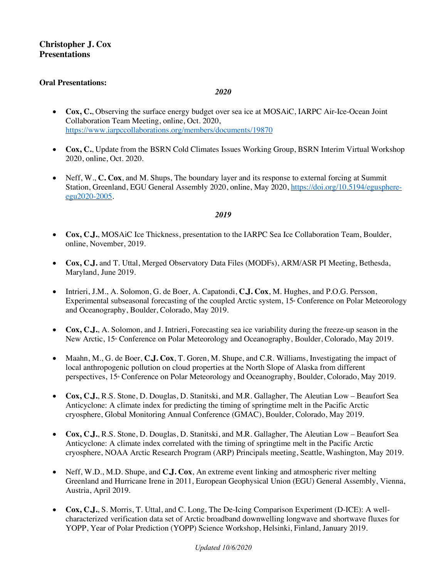# **Christopher J. Cox Presentations**

#### **Oral Presentations:**

#### *2020*

- **Cox, C.**, Observing the surface energy budget over sea ice at MOSAiC, IARPC Air-Ice-Ocean Joint Collaboration Team Meeting, online, Oct. 2020, https://www.iarpccollaborations.org/members/documents/19870
- **Cox, C.**, Update from the BSRN Cold Climates Issues Working Group, BSRN Interim Virtual Workshop 2020, online, Oct. 2020.
- Neff, W., **C. Cox**, and M. Shups, The boundary layer and its response to external forcing at Summit Station, Greenland, EGU General Assembly 2020, online, May 2020, https://doi.org/10.5194/egusphereegu2020-2005.

- **Cox, C.J.**, MOSAiC Ice Thickness, presentation to the IARPC Sea Ice Collaboration Team, Boulder, online, November, 2019.
- **Cox, C.J.** and T. Uttal, Merged Observatory Data Files (MODFs), ARM/ASR PI Meeting, Bethesda, Maryland, June 2019.
- Intrieri, J.M., A. Solomon, G. de Boer, A. Capatondi, **C.J. Cox**, M. Hughes, and P.O.G. Persson, Experimental subseasonal forecasting of the coupled Arctic system, 15<sup>th</sup> Conference on Polar Meteorology and Oceanography, Boulder, Colorado, May 2019.
- **Cox, C.J.**, A. Solomon, and J. Intrieri, Forecasting sea ice variability during the freeze-up season in the New Arctic, 15<sup>th</sup> Conference on Polar Meteorology and Oceanography, Boulder, Colorado, May 2019.
- Maahn, M., G. de Boer, **C.J. Cox**, T. Goren, M. Shupe, and C.R. Williams, Investigating the impact of local anthropogenic pollution on cloud properties at the North Slope of Alaska from different perspectives, 15<sup>th</sup> Conference on Polar Meteorology and Oceanography, Boulder, Colorado, May 2019.
- **Cox, C.J.**, R.S. Stone, D. Douglas, D. Stanitski, and M.R. Gallagher, The Aleutian Low Beaufort Sea Anticyclone: A climate index for predicting the timing of springtime melt in the Pacific Arctic cryosphere, Global Monitoring Annual Conference (GMAC), Boulder, Colorado, May 2019.
- **Cox, C.J.**, R.S. Stone, D. Douglas, D. Stanitski, and M.R. Gallagher, The Aleutian Low Beaufort Sea Anticyclone: A climate index correlated with the timing of springtime melt in the Pacific Arctic cryosphere, NOAA Arctic Research Program (ARP) Principals meeting, Seattle, Washington, May 2019.
- Neff, W.D., M.D. Shupe, and **C.J. Cox**, An extreme event linking and atmospheric river melting Greenland and Hurricane Irene in 2011, European Geophysical Union (EGU) General Assembly, Vienna, Austria, April 2019.
- **Cox, C.J.**, S. Morris, T. Uttal, and C. Long, The De-Icing Comparison Experiment (D-ICE): A wellcharacterized verification data set of Arctic broadband downwelling longwave and shortwave fluxes for YOPP, Year of Polar Prediction (YOPP) Science Workshop, Helsinki, Finland, January 2019.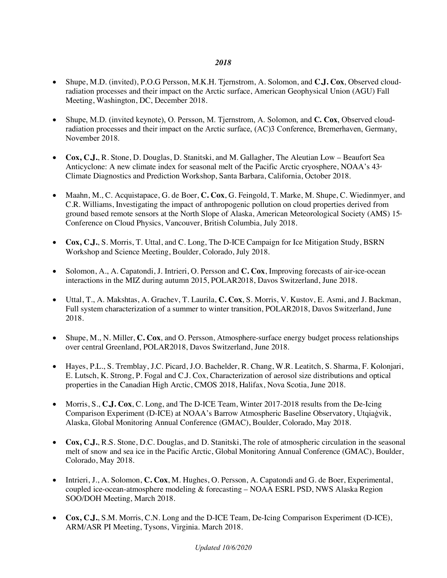- Shupe, M.D. (invited), P.O.G Persson, M.K.H. Tjernstrom, A. Solomon, and **C.J. Cox**, Observed cloudradiation processes and their impact on the Arctic surface, American Geophysical Union (AGU) Fall Meeting, Washington, DC, December 2018.
- Shupe, M.D. (invited keynote), O. Persson, M. Tjernstrom, A. Solomon, and **C. Cox**, Observed cloudradiation processes and their impact on the Arctic surface, (AC)3 Conference, Bremerhaven, Germany, November 2018.
- **Cox, C.J.**, R. Stone, D. Douglas, D. Stanitski, and M. Gallagher, The Aleutian Low Beaufort Sea Anticyclone: A new climate index for seasonal melt of the Pacific Arctic cryosphere, NOAA's  $43<sup>d</sup>$ Climate Diagnostics and Prediction Workshop, Santa Barbara, California, October 2018.
- Maahn, M., C. Acquistapace, G. de Boer, **C. Cox**, G. Feingold, T. Marke, M. Shupe, C. Wiedinmyer, and C.R. Williams, Investigating the impact of anthropogenic pollution on cloud properties derived from ground based remote sensors at the North Slope of Alaska, American Meteorological Society (AMS) 15<sup>th</sup> Conference on Cloud Physics, Vancouver, British Columbia, July 2018.
- **Cox, C.J.**, S. Morris, T. Uttal, and C. Long, The D-ICE Campaign for Ice Mitigation Study, BSRN Workshop and Science Meeting, Boulder, Colorado, July 2018.
- Solomon, A., A. Capatondi, J. Intrieri, O. Persson and **C. Cox**, Improving forecasts of air-ice-ocean interactions in the MIZ during autumn 2015, POLAR2018, Davos Switzerland, June 2018.
- Uttal, T., A. Makshtas, A. Grachev, T. Laurila, **C. Cox**, S. Morris, V. Kustov, E. Asmi, and J. Backman, Full system characterization of a summer to winter transition, POLAR2018, Davos Switzerland, June 2018.
- Shupe, M., N. Miller, **C. Cox**, and O. Persson, Atmosphere-surface energy budget process relationships over central Greenland, POLAR2018, Davos Switzerland, June 2018.
- Hayes, P.L., S. Tremblay, J.C. Picard, J.O. Bachelder, R. Chang, W.R. Leatitch, S. Sharma, F. Kolonjari, E. Lutsch, K. Strong, P. Fogal and C.J. Cox, Characterization of aerosol size distributions and optical properties in the Canadian High Arctic, CMOS 2018, Halifax, Nova Scotia, June 2018.
- Morris, S., **C.J. Cox**, C. Long, and The D-ICE Team, Winter 2017-2018 results from the De-Icing Comparison Experiment (D-ICE) at NOAA's Barrow Atmospheric Baseline Observatory, Utqiaġvik, Alaska, Global Monitoring Annual Conference (GMAC), Boulder, Colorado, May 2018.
- **Cox, C.J.**, R.S. Stone, D.C. Douglas, and D. Stanitski, The role of atmospheric circulation in the seasonal melt of snow and sea ice in the Pacific Arctic, Global Monitoring Annual Conference (GMAC), Boulder, Colorado, May 2018.
- Intrieri, J., A. Solomon, **C. Cox**, M. Hughes, O. Persson, A. Capatondi and G. de Boer, Experimental, coupled ice-ocean-atmosphere modeling & forecasting – NOAA ESRL PSD, NWS Alaska Region SOO/DOH Meeting, March 2018.
- **Cox, C.J.**, S.M. Morris, C.N. Long and the D-ICE Team, De-Icing Comparison Experiment (D-ICE), ARM/ASR PI Meeting, Tysons, Virginia. March 2018.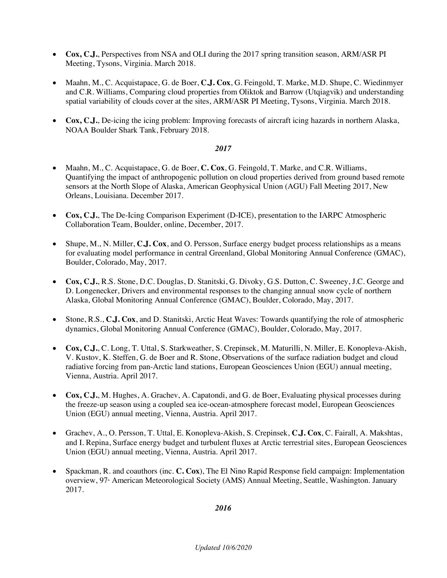- **Cox, C.J.**, Perspectives from NSA and OLI during the 2017 spring transition season, ARM/ASR PI Meeting, Tysons, Virginia. March 2018.
- Maahn, M., C. Acquistapace, G. de Boer, **C.J. Cox**, G. Feingold, T. Marke, M.D. Shupe, C. Wiedinmyer and C.R. Williams, Comparing cloud properties from Oliktok and Barrow (Utqiagvik) and understanding spatial variability of clouds cover at the sites, ARM/ASR PI Meeting, Tysons, Virginia. March 2018.
- **Cox, C.J.**, De-icing the icing problem: Improving forecasts of aircraft icing hazards in northern Alaska, NOAA Boulder Shark Tank, February 2018.

- Maahn, M., C. Acquistapace, G. de Boer, **C. Cox**, G. Feingold, T. Marke, and C.R. Williams, Quantifying the impact of anthropogenic pollution on cloud properties derived from ground based remote sensors at the North Slope of Alaska, American Geophysical Union (AGU) Fall Meeting 2017, New Orleans, Louisiana. December 2017.
- **Cox, C.J.**, The De-Icing Comparison Experiment (D-ICE), presentation to the IARPC Atmospheric Collaboration Team, Boulder, online, December, 2017.
- Shupe, M., N. Miller, **C.J. Cox**, and O. Persson, Surface energy budget process relationships as a means for evaluating model performance in central Greenland, Global Monitoring Annual Conference (GMAC), Boulder, Colorado, May, 2017.
- **Cox, C.J.**, R.S. Stone, D.C. Douglas, D. Stanitski, G. Divoky, G.S. Dutton, C. Sweeney, J.C. George and D. Longenecker, Drivers and environmental responses to the changing annual snow cycle of northern Alaska, Global Monitoring Annual Conference (GMAC), Boulder, Colorado, May, 2017.
- Stone, R.S., **C.J. Cox**, and D. Stanitski, Arctic Heat Waves: Towards quantifying the role of atmospheric dynamics, Global Monitoring Annual Conference (GMAC), Boulder, Colorado, May, 2017.
- **Cox, C.J.**, C. Long, T. Uttal, S. Starkweather, S. Crepinsek, M. Maturilli, N. Miller, E. Konopleva-Akish, V. Kustov, K. Steffen, G. de Boer and R. Stone, Observations of the surface radiation budget and cloud radiative forcing from pan-Arctic land stations, European Geosciences Union (EGU) annual meeting, Vienna, Austria. April 2017.
- **Cox, C.J.**, M. Hughes, A. Grachev, A. Capatondi, and G. de Boer, Evaluating physical processes during the freeze-up season using a coupled sea ice-ocean-atmosphere forecast model, European Geosciences Union (EGU) annual meeting, Vienna, Austria. April 2017.
- Grachev, A., O. Persson, T. Uttal, E. Konopleva-Akish, S. Crepinsek, **C.J. Cox**, C. Fairall, A. Makshtas, and I. Repina, Surface energy budget and turbulent fluxes at Arctic terrestrial sites, European Geosciences Union (EGU) annual meeting, Vienna, Austria. April 2017.
- Spackman, R. and coauthors (inc. **C. Cox**), The El Nino Rapid Response field campaign: Implementation overview, 97<sup>th</sup> American Meteorological Society (AMS) Annual Meeting, Seattle, Washington. January 2017.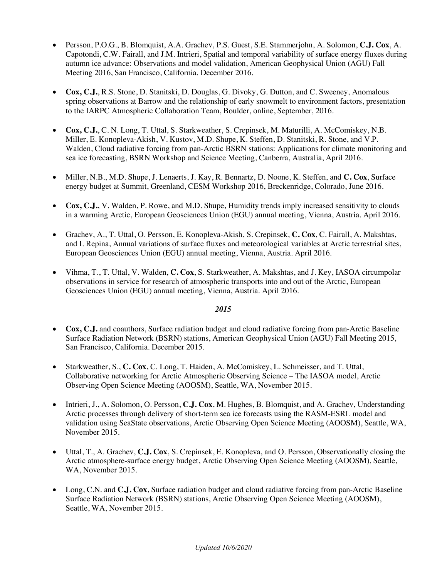- Persson, P.O.G., B. Blomquist, A.A. Grachev, P.S. Guest, S.E. Stammerjohn, A. Solomon, **C.J. Cox**, A. Capotondi, C.W. Fairall, and J.M. Intrieri, Spatial and temporal variability of surface energy fluxes during autumn ice advance: Observations and model validation, American Geophysical Union (AGU) Fall Meeting 2016, San Francisco, California. December 2016.
- **Cox, C.J.**, R.S. Stone, D. Stanitski, D. Douglas, G. Divoky, G. Dutton, and C. Sweeney, Anomalous spring observations at Barrow and the relationship of early snowmelt to environment factors, presentation to the IARPC Atmospheric Collaboration Team, Boulder, online, September, 2016.
- **Cox, C.J.**, C. N. Long, T. Uttal, S. Starkweather, S. Crepinsek, M. Maturilli, A. McComiskey, N.B. Miller, E. Konopleva-Akish, V. Kustov, M.D. Shupe, K. Steffen, D. Stanitski, R. Stone, and V.P. Walden, Cloud radiative forcing from pan-Arctic BSRN stations: Applications for climate monitoring and sea ice forecasting, BSRN Workshop and Science Meeting, Canberra, Australia, April 2016.
- Miller, N.B., M.D. Shupe, J. Lenaerts, J. Kay, R. Bennartz, D. Noone, K. Steffen, and **C. Cox**, Surface energy budget at Summit, Greenland, CESM Workshop 2016, Breckenridge, Colorado, June 2016.
- **Cox, C.J.**, V. Walden, P. Rowe, and M.D. Shupe, Humidity trends imply increased sensitivity to clouds in a warming Arctic, European Geosciences Union (EGU) annual meeting, Vienna, Austria. April 2016.
- Grachev, A., T. Uttal, O. Persson, E. Konopleva-Akish, S. Crepinsek, **C. Cox**, C. Fairall, A. Makshtas, and I. Repina, Annual variations of surface fluxes and meteorological variables at Arctic terrestrial sites, European Geosciences Union (EGU) annual meeting, Vienna, Austria. April 2016.
- Vihma, T., T. Uttal, V. Walden, **C. Cox**, S. Starkweather, A. Makshtas, and J. Key, IASOA circumpolar observations in service for research of atmospheric transports into and out of the Arctic, European Geosciences Union (EGU) annual meeting, Vienna, Austria. April 2016.

- **Cox, C.J.** and coauthors, Surface radiation budget and cloud radiative forcing from pan-Arctic Baseline Surface Radiation Network (BSRN) stations, American Geophysical Union (AGU) Fall Meeting 2015, San Francisco, California. December 2015.
- Starkweather, S., **C. Cox**, C. Long, T. Haiden, A. McComiskey, L. Schmeisser, and T. Uttal, Collaborative networking for Arctic Atmospheric Observing Science – The IASOA model, Arctic Observing Open Science Meeting (AOOSM), Seattle, WA, November 2015.
- Intrieri, J., A. Solomon, O. Persson, **C.J. Cox**, M. Hughes, B. Blomquist, and A. Grachev, Understanding Arctic processes through delivery of short-term sea ice forecasts using the RASM-ESRL model and validation using SeaState observations, Arctic Observing Open Science Meeting (AOOSM), Seattle, WA, November 2015.
- Uttal, T., A. Grachev, **C.J. Cox**, S. Crepinsek, E. Konopleva, and O. Persson, Observationally closing the Arctic atmosphere-surface energy budget, Arctic Observing Open Science Meeting (AOOSM), Seattle, WA, November 2015.
- Long, C.N. and **C.J. Cox**, Surface radiation budget and cloud radiative forcing from pan-Arctic Baseline Surface Radiation Network (BSRN) stations, Arctic Observing Open Science Meeting (AOOSM), Seattle, WA, November 2015.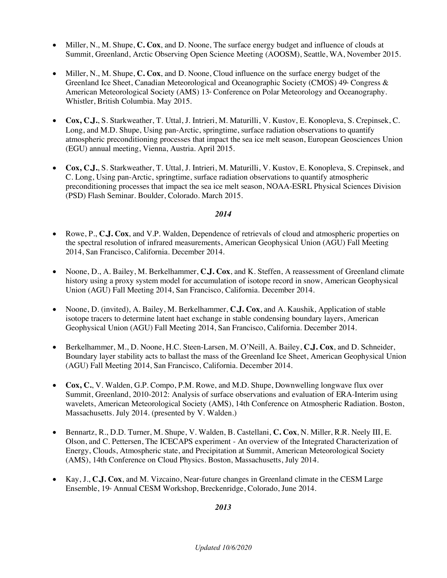- Miller, N., M. Shupe, **C. Cox**, and D. Noone, The surface energy budget and influence of clouds at Summit, Greenland, Arctic Observing Open Science Meeting (AOOSM), Seattle, WA, November 2015.
- Miller, N., M. Shupe, **C. Cox**, and D. Noone, Cloud influence on the surface energy budget of the Greenland Ice Sheet, Canadian Meteorological and Oceanographic Society (CMOS)  $49^{\circ}$  Congress & American Meteorological Society (AMS) 13<sup>th</sup> Conference on Polar Meteorology and Oceanography. Whistler, British Columbia. May 2015.
- **Cox, C.J.**, S. Starkweather, T. Uttal, J. Intrieri, M. Maturilli, V. Kustov, E. Konopleva, S. Crepinsek, C. Long, and M.D. Shupe, Using pan-Arctic, springtime, surface radiation observations to quantify atmospheric preconditioning processes that impact the sea ice melt season, European Geosciences Union (EGU) annual meeting, Vienna, Austria. April 2015.
- **Cox, C.J.**, S. Starkweather, T. Uttal, J. Intrieri, M. Maturilli, V. Kustov, E. Konopleva, S. Crepinsek, and C. Long, Using pan-Arctic, springtime, surface radiation observations to quantify atmospheric preconditioning processes that impact the sea ice melt season, NOAA-ESRL Physical Sciences Division (PSD) Flash Seminar. Boulder, Colorado. March 2015.

- Rowe, P., **C.J. Cox**, and V.P. Walden, Dependence of retrievals of cloud and atmospheric properties on the spectral resolution of infrared measurements, American Geophysical Union (AGU) Fall Meeting 2014, San Francisco, California. December 2014.
- Noone, D., A. Bailey, M. Berkelhammer, **C.J. Cox**, and K. Steffen, A reassessment of Greenland climate history using a proxy system model for accumulation of isotope record in snow, American Geophysical Union (AGU) Fall Meeting 2014, San Francisco, California. December 2014.
- Noone, D. (invited), A. Bailey, M. Berkelhammer, **C.J. Cox**, and A. Kaushik, Application of stable isotope tracers to determine latent haet exchange in stable condensing boundary layers, American Geophysical Union (AGU) Fall Meeting 2014, San Francisco, California. December 2014.
- Berkelhammer, M., D. Noone, H.C. Steen-Larsen, M. O'Neill, A. Bailey, **C.J. Cox**, and D. Schneider, Boundary layer stability acts to ballast the mass of the Greenland Ice Sheet, American Geophysical Union (AGU) Fall Meeting 2014, San Francisco, California. December 2014.
- **Cox, C.**, V. Walden, G.P. Compo, P.M. Rowe, and M.D. Shupe, Downwelling longwave flux over Summit, Greenland, 2010-2012: Analysis of surface observations and evaluation of ERA-Interim using wavelets, American Meteorological Society (AMS), 14th Conference on Atmospheric Radiation. Boston, Massachusetts. July 2014. (presented by V. Walden.)
- Bennartz, R., D.D. Turner, M. Shupe, V. Walden, B. Castellani, **C. Cox**, N. Miller, R.R. Neely III, E. Olson, and C. Pettersen, The ICECAPS experiment - An overview of the Integrated Characterization of Energy, Clouds, Atmospheric state, and Precipitation at Summit, American Meteorological Society (AMS), 14th Conference on Cloud Physics. Boston, Massachusetts, July 2014.
- Kay, J., **C.J. Cox**, and M. Vizcaino, Near-future changes in Greenland climate in the CESM Large Ensemble, 19<sup>th</sup> Annual CESM Workshop, Breckenridge, Colorado, June 2014.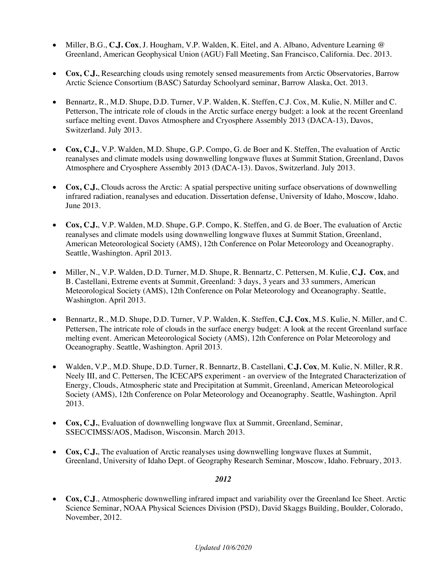- Miller, B.G., **C.J. Cox**, J. Hougham, V.P. Walden, K. Eitel, and A. Albano, Adventure Learning @ Greenland, American Geophysical Union (AGU) Fall Meeting, San Francisco, California. Dec. 2013.
- **Cox, C.J.**, Researching clouds using remotely sensed measurements from Arctic Observatories, Barrow Arctic Science Consortium (BASC) Saturday Schoolyard seminar, Barrow Alaska, Oct. 2013.
- Bennartz, R., M.D. Shupe, D.D. Turner, V.P. Walden, K. Steffen, C.J. Cox, M. Kulie, N. Miller and C. Petterson, The intricate role of clouds in the Arctic surface energy budget: a look at the recent Greenland surface melting event. Davos Atmosphere and Cryosphere Assembly 2013 (DACA-13), Davos, Switzerland. July 2013.
- **Cox, C.J.**, V.P. Walden, M.D. Shupe, G.P. Compo, G. de Boer and K. Steffen, The evaluation of Arctic reanalyses and climate models using downwelling longwave fluxes at Summit Station, Greenland, Davos Atmosphere and Cryosphere Assembly 2013 (DACA-13). Davos, Switzerland. July 2013.
- **Cox, C.J.**, Clouds across the Arctic: A spatial perspective uniting surface observations of downwelling infrared radiation, reanalyses and education. Dissertation defense, University of Idaho, Moscow, Idaho. June 2013.
- **Cox, C.J.**, V.P. Walden, M.D. Shupe, G.P. Compo, K. Steffen, and G. de Boer, The evaluation of Arctic reanalyses and climate models using downwelling longwave fluxes at Summit Station, Greenland, American Meteorological Society (AMS), 12th Conference on Polar Meteorology and Oceanography. Seattle, Washington. April 2013.
- Miller, N., V.P. Walden, D.D. Turner, M.D. Shupe, R. Bennartz, C. Pettersen, M. Kulie, **C.J. Cox**, and B. Castellani, Extreme events at Summit, Greenland: 3 days, 3 years and 33 summers, American Meteorological Society (AMS), 12th Conference on Polar Meteorology and Oceanography. Seattle, Washington. April 2013.
- Bennartz, R., M.D. Shupe, D.D. Turner, V.P. Walden, K. Steffen, **C.J. Cox**, M.S. Kulie, N. Miller, and C. Pettersen, The intricate role of clouds in the surface energy budget: A look at the recent Greenland surface melting event. American Meteorological Society (AMS), 12th Conference on Polar Meteorology and Oceanography. Seattle, Washington. April 2013.
- Walden, V.P., M.D. Shupe, D.D. Turner, R. Bennartz, B. Castellani, **C.J. Cox**, M. Kulie, N. Miller, R.R. Neely III, and C. Pettersen, The ICECAPS experiment - an overview of the Integrated Characterization of Energy, Clouds, Atmospheric state and Precipitation at Summit, Greenland, American Meteorological Society (AMS), 12th Conference on Polar Meteorology and Oceanography. Seattle, Washington. April 2013.
- **Cox, C.J.**, Evaluation of downwelling longwave flux at Summit, Greenland, Seminar, SSEC/CIMSS/AOS, Madison, Wisconsin. March 2013.
- **Cox, C.J.**, The evaluation of Arctic reanalyses using downwelling longwave fluxes at Summit, Greenland, University of Idaho Dept. of Geography Research Seminar, Moscow, Idaho. February, 2013.

• **Cox, C.J**., Atmospheric downwelling infrared impact and variability over the Greenland Ice Sheet. Arctic Science Seminar, NOAA Physical Sciences Division (PSD), David Skaggs Building, Boulder, Colorado, November, 2012.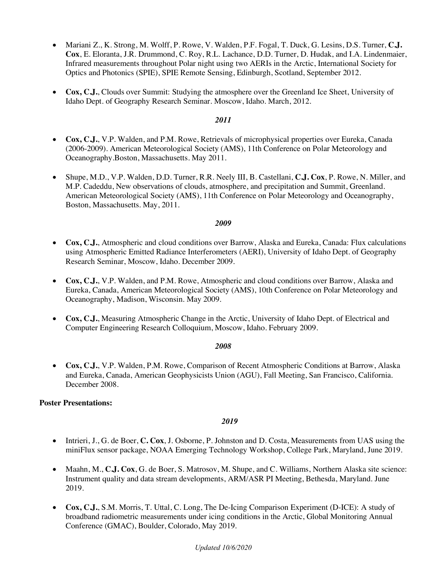- Mariani Z., K. Strong, M. Wolff, P. Rowe, V. Walden, P.F. Fogal, T. Duck, G. Lesins, D.S. Turner, **C.J. Cox**, E. Eloranta, J.R. Drummond, C. Roy, R.L. Lachance, D.D. Turner, D. Hudak, and I.A. Lindenmaier, Infrared measurements throughout Polar night using two AERIs in the Arctic, International Society for Optics and Photonics (SPIE), SPIE Remote Sensing, Edinburgh, Scotland, September 2012.
- **Cox, C.J.**, Clouds over Summit: Studying the atmosphere over the Greenland Ice Sheet, University of Idaho Dept. of Geography Research Seminar. Moscow, Idaho. March, 2012.

- **Cox, C.J.**, V.P. Walden, and P.M. Rowe, Retrievals of microphysical properties over Eureka, Canada (2006-2009). American Meteorological Society (AMS), 11th Conference on Polar Meteorology and Oceanography.Boston, Massachusetts. May 2011.
- Shupe, M.D., V.P. Walden, D.D. Turner, R.R. Neely III, B. Castellani, **C.J. Cox**, P. Rowe, N. Miller, and M.P. Cadeddu, New observations of clouds, atmosphere, and precipitation and Summit, Greenland. American Meteorological Society (AMS), 11th Conference on Polar Meteorology and Oceanography, Boston, Massachusetts. May, 2011.

#### *2009*

- **Cox, C.J.**, Atmospheric and cloud conditions over Barrow, Alaska and Eureka, Canada: Flux calculations using Atmospheric Emitted Radiance Interferometers (AERI), University of Idaho Dept. of Geography Research Seminar, Moscow, Idaho. December 2009.
- **Cox, C.J.**, V.P. Walden, and P.M. Rowe, Atmospheric and cloud conditions over Barrow, Alaska and Eureka, Canada, American Meteorological Society (AMS), 10th Conference on Polar Meteorology and Oceanography, Madison, Wisconsin. May 2009.
- **Cox, C.J.**, Measuring Atmospheric Change in the Arctic, University of Idaho Dept. of Electrical and Computer Engineering Research Colloquium, Moscow, Idaho. February 2009.

#### *2008*

• **Cox, C.J.**, V.P. Walden, P.M. Rowe, Comparison of Recent Atmospheric Conditions at Barrow, Alaska and Eureka, Canada, American Geophysicists Union (AGU), Fall Meeting, San Francisco, California. December 2008.

#### **Poster Presentations:**

- Intrieri, J., G. de Boer, **C. Cox**, J. Osborne, P. Johnston and D. Costa, Measurements from UAS using the miniFlux sensor package, NOAA Emerging Technology Workshop, College Park, Maryland, June 2019.
- Maahn, M., **C.J. Cox**, G. de Boer, S. Matrosov, M. Shupe, and C. Williams, Northern Alaska site science: Instrument quality and data stream developments, ARM/ASR PI Meeting, Bethesda, Maryland. June 2019.
- **Cox, C.J.**, S.M. Morris, T. Uttal, C. Long, The De-Icing Comparison Experiment (D-ICE): A study of broadband radiometric measurements under icing conditions in the Arctic, Global Monitoring Annual Conference (GMAC), Boulder, Colorado, May 2019.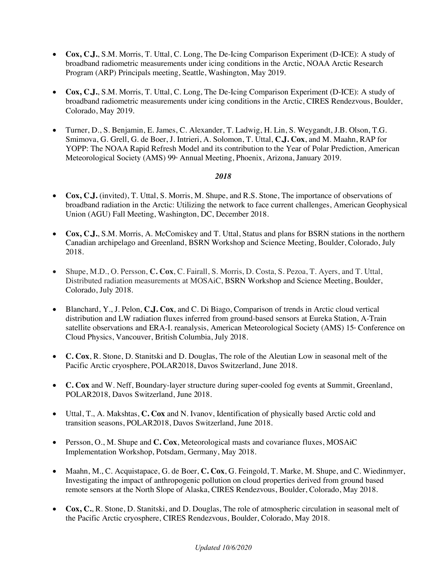- **Cox, C.J.**, S.M. Morris, T. Uttal, C. Long, The De-Icing Comparison Experiment (D-ICE): A study of broadband radiometric measurements under icing conditions in the Arctic, NOAA Arctic Research Program (ARP) Principals meeting, Seattle, Washington, May 2019.
- **Cox, C.J.**, S.M. Morris, T. Uttal, C. Long, The De-Icing Comparison Experiment (D-ICE): A study of broadband radiometric measurements under icing conditions in the Arctic, CIRES Rendezvous, Boulder, Colorado, May 2019.
- Turner, D., S. Benjamin, E. James, C. Alexander, T. Ladwig, H. Lin, S. Weygandt, J.B. Olson, T.G. Smimova, G. Grell, G. de Boer, J. Intrieri, A. Solomon, T. Uttal, **C.J. Cox**, and M. Maahn, RAP for YOPP: The NOAA Rapid Refresh Model and its contribution to the Year of Polar Prediction, American Meteorological Society (AMS) 99<sup>th</sup> Annual Meeting, Phoenix, Arizona, January 2019.

- **Cox, C.J.** (invited), T. Uttal, S. Morris, M. Shupe, and R.S. Stone, The importance of observations of broadband radiation in the Arctic: Utilizing the network to face current challenges, American Geophysical Union (AGU) Fall Meeting, Washington, DC, December 2018.
- **Cox, C.J.**, S.M. Morris, A. McComiskey and T. Uttal, Status and plans for BSRN stations in the northern Canadian archipelago and Greenland, BSRN Workshop and Science Meeting, Boulder, Colorado, July 2018.
- Shupe, M.D., O. Persson, **C. Cox**, C. Fairall, S. Morris, D. Costa, S. Pezoa, T. Ayers, and T. Uttal, Distributed radiation measurements at MOSAiC, BSRN Workshop and Science Meeting, Boulder, Colorado, July 2018.
- Blanchard, Y., J. Pelon, **C.J. Cox**, and C. Di Biago, Comparison of trends in Arctic cloud vertical distribution and LW radiation fluxes inferred from ground-based sensors at Eureka Station, A-Train satellite observations and ERA-I. reanalysis, American Meteorological Society (AMS) 15<sup>th</sup> Conference on Cloud Physics, Vancouver, British Columbia, July 2018.
- **C. Cox**, R. Stone, D. Stanitski and D. Douglas, The role of the Aleutian Low in seasonal melt of the Pacific Arctic cryosphere, POLAR2018, Davos Switzerland, June 2018.
- **C. Cox** and W. Neff, Boundary-layer structure during super-cooled fog events at Summit, Greenland, POLAR2018, Davos Switzerland, June 2018.
- Uttal, T., A. Makshtas, **C. Cox** and N. Ivanov, Identification of physically based Arctic cold and transition seasons, POLAR2018, Davos Switzerland, June 2018.
- Persson, O., M. Shupe and **C. Cox**, Meteorological masts and covariance fluxes, MOSAiC Implementation Workshop, Potsdam, Germany, May 2018.
- Maahn, M., C. Acquistapace, G. de Boer, **C. Cox**, G. Feingold, T. Marke, M. Shupe, and C. Wiedinmyer, Investigating the impact of anthropogenic pollution on cloud properties derived from ground based remote sensors at the North Slope of Alaska, CIRES Rendezvous, Boulder, Colorado, May 2018.
- **Cox, C.**, R. Stone, D. Stanitski, and D. Douglas, The role of atmospheric circulation in seasonal melt of the Pacific Arctic cryosphere, CIRES Rendezvous, Boulder, Colorado, May 2018.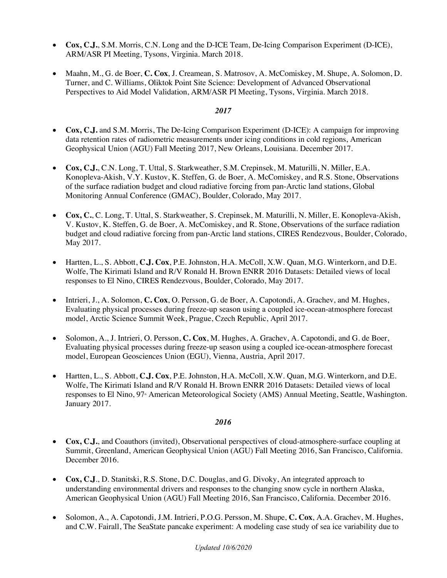- **Cox, C.J.**, S.M. Morris, C.N. Long and the D-ICE Team, De-Icing Comparison Experiment (D-ICE), ARM/ASR PI Meeting, Tysons, Virginia. March 2018.
- Maahn, M., G. de Boer, **C. Cox**, J. Creamean, S. Matrosov, A. McComiskey, M. Shupe, A. Solomon, D. Turner, and C. Williams, Oliktok Point Site Science: Development of Advanced Observational Perspectives to Aid Model Validation, ARM/ASR PI Meeting, Tysons, Virginia. March 2018.

- **Cox, C.J.** and S.M. Morris, The De-Icing Comparison Experiment (D-ICE): A campaign for improving data retention rates of radiometric measurements under icing conditions in cold regions, American Geophysical Union (AGU) Fall Meeting 2017, New Orleans, Louisiana. December 2017.
- **Cox, C.J.**, C.N. Long, T. Uttal, S. Starkweather, S.M. Crepinsek, M. Maturilli, N. Miller, E.A. Konopleva-Akish, V.Y. Kustov, K. Steffen, G. de Boer, A. McComiskey, and R.S. Stone, Observations of the surface radiation budget and cloud radiative forcing from pan-Arctic land stations, Global Monitoring Annual Conference (GMAC), Boulder, Colorado, May 2017.
- **Cox, C.**, C. Long, T. Uttal, S. Starkweather, S. Crepinsek, M. Maturilli, N. Miller, E. Konopleva-Akish, V. Kustov, K. Steffen, G. de Boer, A. McComiskey, and R. Stone, Observations of the surface radiation budget and cloud radiative forcing from pan-Arctic land stations, CIRES Rendezvous, Boulder, Colorado, May 2017.
- Hartten, L., S. Abbott, **C.J. Cox**, P.E. Johnston, H.A. McColl, X.W. Quan, M.G. Winterkorn, and D.E. Wolfe, The Kirimati Island and R/V Ronald H. Brown ENRR 2016 Datasets: Detailed views of local responses to El Nino, CIRES Rendezvous, Boulder, Colorado, May 2017.
- Intrieri, J., A. Solomon, **C. Cox**, O. Persson, G. de Boer, A. Capotondi, A. Grachev, and M. Hughes, Evaluating physical processes during freeze-up season using a coupled ice-ocean-atmosphere forecast model, Arctic Science Summit Week, Prague, Czech Republic, April 2017.
- Solomon, A., J. Intrieri, O. Persson, **C. Cox**, M. Hughes, A. Grachev, A. Capotondi, and G. de Boer, Evaluating physical processes during freeze-up season using a coupled ice-ocean-atmosphere forecast model, European Geosciences Union (EGU), Vienna, Austria, April 2017.
- Hartten, L., S. Abbott, **C.J. Cox**, P.E. Johnston, H.A. McColl, X.W. Quan, M.G. Winterkorn, and D.E. Wolfe, The Kirimati Island and R/V Ronald H. Brown ENRR 2016 Datasets: Detailed views of local responses to El Nino, 97<sup>\*</sup> American Meteorological Society (AMS) Annual Meeting, Seattle, Washington. January 2017.

- **Cox, C.J.**, and Coauthors (invited), Observational perspectives of cloud-atmosphere-surface coupling at Summit, Greenland, American Geophysical Union (AGU) Fall Meeting 2016, San Francisco, California. December 2016.
- **Cox, C.J**., D. Stanitski, R.S. Stone, D.C. Douglas, and G. Divoky, An integrated approach to understanding environmental drivers and responses to the changing snow cycle in northern Alaska, American Geophysical Union (AGU) Fall Meeting 2016, San Francisco, California. December 2016.
- Solomon, A., A. Capotondi, J.M. Intrieri, P.O.G. Persson, M. Shupe, **C. Cox**, A.A. Grachev, M. Hughes, and C.W. Fairall, The SeaState pancake experiment: A modeling case study of sea ice variability due to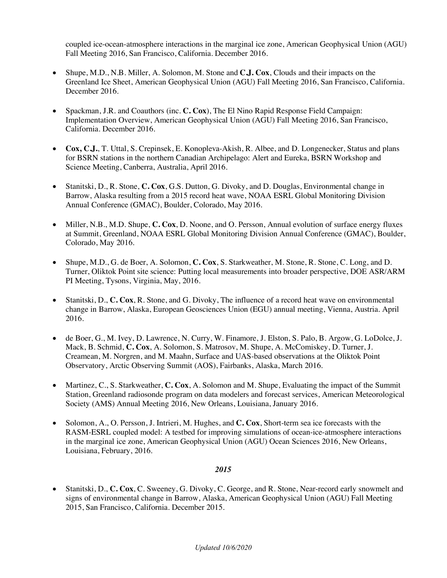coupled ice-ocean-atmosphere interactions in the marginal ice zone, American Geophysical Union (AGU) Fall Meeting 2016, San Francisco, California. December 2016.

- Shupe, M.D., N.B. Miller, A. Solomon, M. Stone and **C.J. Cox**, Clouds and their impacts on the Greenland Ice Sheet, American Geophysical Union (AGU) Fall Meeting 2016, San Francisco, California. December 2016.
- Spackman, J.R. and Coauthors (inc. **C. Cox**), The El Nino Rapid Response Field Campaign: Implementation Overview, American Geophysical Union (AGU) Fall Meeting 2016, San Francisco, California. December 2016.
- **Cox, C.J.**, T. Uttal, S. Crepinsek, E. Konopleva-Akish, R. Albee, and D. Longenecker, Status and plans for BSRN stations in the northern Canadian Archipelago: Alert and Eureka, BSRN Workshop and Science Meeting, Canberra, Australia, April 2016.
- Stanitski, D., R. Stone, **C. Cox**, G.S. Dutton, G. Divoky, and D. Douglas, Environmental change in Barrow, Alaska resulting from a 2015 record heat wave, NOAA ESRL Global Monitoring Division Annual Conference (GMAC), Boulder, Colorado, May 2016.
- Miller, N.B., M.D. Shupe, **C. Cox**, D. Noone, and O. Persson, Annual evolution of surface energy fluxes at Summit, Greenland, NOAA ESRL Global Monitoring Division Annual Conference (GMAC), Boulder, Colorado, May 2016.
- Shupe, M.D., G. de Boer, A. Solomon, **C. Cox**, S. Starkweather, M. Stone, R. Stone, C. Long, and D. Turner, Oliktok Point site science: Putting local measurements into broader perspective, DOE ASR/ARM PI Meeting, Tysons, Virginia, May, 2016.
- Stanitski, D., **C. Cox**, R. Stone, and G. Divoky, The influence of a record heat wave on environmental change in Barrow, Alaska, European Geosciences Union (EGU) annual meeting, Vienna, Austria. April 2016.
- de Boer, G., M. Ivey, D. Lawrence, N. Curry, W. Finamore, J. Elston, S. Palo, B. Argow, G. LoDolce, J. Mack, B. Schmid, **C. Cox**, A. Solomon, S. Matrosov, M. Shupe, A. McComiskey, D. Turner, J. Creamean, M. Norgren, and M. Maahn, Surface and UAS-based observations at the Oliktok Point Observatory, Arctic Observing Summit (AOS), Fairbanks, Alaska, March 2016.
- Martinez, C., S. Starkweather, **C. Cox**, A. Solomon and M. Shupe, Evaluating the impact of the Summit Station, Greenland radiosonde program on data modelers and forecast services, American Meteorological Society (AMS) Annual Meeting 2016, New Orleans, Louisiana, January 2016.
- Solomon, A., O. Persson, J. Intrieri, M. Hughes, and **C. Cox**, Short-term sea ice forecasts with the RASM-ESRL coupled model: A testbed for improving simulations of ocean-ice-atmosphere interactions in the marginal ice zone, American Geophysical Union (AGU) Ocean Sciences 2016, New Orleans, Louisiana, February, 2016.

# *2015*

• Stanitski, D., **C. Cox**, C. Sweeney, G. Divoky, C. George, and R. Stone, Near-record early snowmelt and signs of environmental change in Barrow, Alaska, American Geophysical Union (AGU) Fall Meeting 2015, San Francisco, California. December 2015.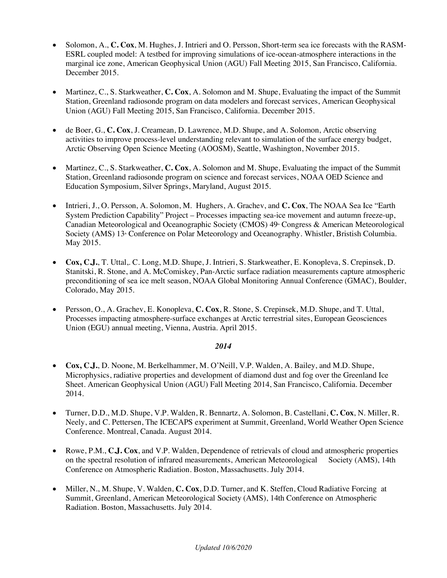- Solomon, A., **C. Cox**, M. Hughes, J. Intrieri and O. Persson, Short-term sea ice forecasts with the RASM-ESRL coupled model: A testbed for improving simulations of ice-ocean-atmosphere interactions in the marginal ice zone, American Geophysical Union (AGU) Fall Meeting 2015, San Francisco, California. December 2015.
- Martinez, C., S. Starkweather, **C. Cox**, A. Solomon and M. Shupe, Evaluating the impact of the Summit Station, Greenland radiosonde program on data modelers and forecast services, American Geophysical Union (AGU) Fall Meeting 2015, San Francisco, California. December 2015.
- de Boer, G., **C. Cox**, J. Creamean, D. Lawrence, M.D. Shupe, and A. Solomon, Arctic observing activities to improve process-level understanding relevant to simulation of the surface energy budget, Arctic Observing Open Science Meeting (AOOSM), Seattle, Washington, November 2015.
- Martinez, C., S. Starkweather, **C. Cox**, A. Solomon and M. Shupe, Evaluating the impact of the Summit Station, Greenland radiosonde program on science and forecast services, NOAA OED Science and Education Symposium, Silver Springs, Maryland, August 2015.
- Intrieri, J., O. Persson, A. Solomon, M. Hughers, A. Grachev, and **C. Cox**, The NOAA Sea Ice "Earth System Prediction Capability" Project – Processes impacting sea-ice movement and autumn freeze-up, Canadian Meteorological and Oceanographic Society (CMOS) 49<sup>th</sup> Congress & American Meteorological Society (AMS) 13<sup>th</sup> Conference on Polar Meteorology and Oceanography. Whistler, Bristish Columbia. May 2015.
- **Cox, C.J.**, T. Uttal,. C. Long, M.D. Shupe, J. Intrieri, S. Starkweather, E. Konopleva, S. Crepinsek, D. Stanitski, R. Stone, and A. McComiskey, Pan-Arctic surface radiation measurements capture atmospheric preconditioning of sea ice melt season, NOAA Global Monitoring Annual Conference (GMAC), Boulder, Colorado, May 2015.
- Persson, O., A. Grachev, E. Konopleva, **C. Cox**, R. Stone, S. Crepinsek, M.D. Shupe, and T. Uttal, Processes impacting atmosphere-surface exchanges at Arctic terrestrial sites, European Geosciences Union (EGU) annual meeting, Vienna, Austria. April 2015.

- **Cox, C.J.**, D. Noone, M. Berkelhammer, M. O'Neill, V.P. Walden, A. Bailey, and M.D. Shupe, Microphysics, radiative properties and development of diamond dust and fog over the Greenland Ice Sheet. American Geophysical Union (AGU) Fall Meeting 2014, San Francisco, California. December 2014.
- Turner, D.D., M.D. Shupe, V.P. Walden, R. Bennartz, A. Solomon, B. Castellani, **C. Cox**, N. Miller, R. Neely, and C. Pettersen, The ICECAPS experiment at Summit, Greenland, World Weather Open Science Conference. Montreal, Canada. August 2014.
- Rowe, P.M., **C.J. Cox**, and V.P. Walden, Dependence of retrievals of cloud and atmospheric properties on the spectral resolution of infrared measurements, American Meteorological Society (AMS), 14th Conference on Atmospheric Radiation. Boston, Massachusetts. July 2014.
- Miller, N., M. Shupe, V. Walden, **C. Cox**, D.D. Turner, and K. Steffen, Cloud Radiative Forcing at Summit, Greenland, American Meteorological Society (AMS), 14th Conference on Atmospheric Radiation. Boston, Massachusetts. July 2014.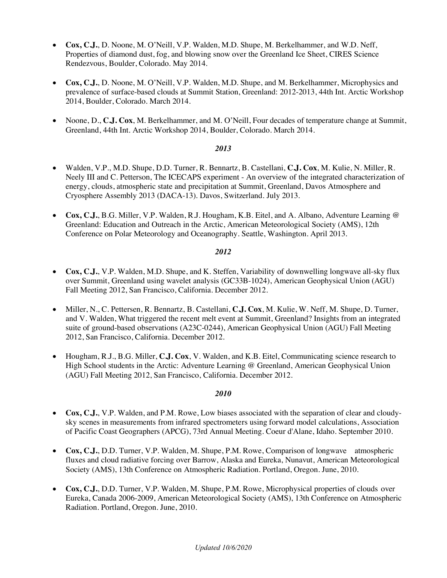- **Cox, C.J.**, D. Noone, M. O'Neill, V.P. Walden, M.D. Shupe, M. Berkelhammer, and W.D. Neff, Properties of diamond dust, fog, and blowing snow over the Greenland Ice Sheet, CIRES Science Rendezvous, Boulder, Colorado. May 2014.
- **Cox, C.J.**, D. Noone, M. O'Neill, V.P. Walden, M.D. Shupe, and M. Berkelhammer, Microphysics and prevalence of surface-based clouds at Summit Station, Greenland: 2012-2013, 44th Int. Arctic Workshop 2014, Boulder, Colorado. March 2014.
- Noone, D., **C.J. Cox**, M. Berkelhammer, and M. O'Neill, Four decades of temperature change at Summit, Greenland, 44th Int. Arctic Workshop 2014, Boulder, Colorado. March 2014.

- Walden, V.P., M.D. Shupe, D.D. Turner, R. Bennartz, B. Castellani, **C.J. Cox**, M. Kulie, N. Miller, R. Neely III and C. Petterson, The ICECAPS experiment - An overview of the integrated characterization of energy, clouds, atmospheric state and precipitation at Summit, Greenland, Davos Atmosphere and Cryosphere Assembly 2013 (DACA-13). Davos, Switzerland. July 2013.
- **Cox, C.J.**, B.G. Miller, V.P. Walden, R.J. Hougham, K.B. Eitel, and A. Albano, Adventure Learning @ Greenland: Education and Outreach in the Arctic, American Meteorological Society (AMS), 12th Conference on Polar Meteorology and Oceanography. Seattle, Washington. April 2013.

#### *2012*

- **Cox, C.J.**, V.P. Walden, M.D. Shupe, and K. Steffen, Variability of downwelling longwave all-sky flux over Summit, Greenland using wavelet analysis (GC33B-1024), American Geophysical Union (AGU) Fall Meeting 2012, San Francisco, California. December 2012.
- Miller, N., C. Pettersen, R. Bennartz, B. Castellani, **C.J. Cox**, M. Kulie, W. Neff, M. Shupe, D. Turner, and V. Walden, What triggered the recent melt event at Summit, Greenland? Insights from an integrated suite of ground-based observations (A23C-0244), American Geophysical Union (AGU) Fall Meeting 2012, San Francisco, California. December 2012.
- Hougham, R.J., B.G. Miller, **C.J. Cox**, V. Walden, and K.B. Eitel, Communicating science research to High School students in the Arctic: Adventure Learning @ Greenland, American Geophysical Union (AGU) Fall Meeting 2012, San Francisco, California. December 2012.

- **Cox, C.J.**, V.P. Walden, and P.M. Rowe, Low biases associated with the separation of clear and cloudysky scenes in measurements from infrared spectrometers using forward model calculations, Association of Pacific Coast Geographers (APCG), 73rd Annual Meeting. Coeur d'Alane, Idaho. September 2010.
- **Cox, C.J.**, D.D. Turner, V.P. Walden, M. Shupe, P.M. Rowe, Comparison of longwave atmospheric fluxes and cloud radiative forcing over Barrow, Alaska and Eureka, Nunavut, American Meteorological Society (AMS), 13th Conference on Atmospheric Radiation. Portland, Oregon. June, 2010.
- **Cox, C.J.**, D.D. Turner, V.P. Walden, M. Shupe, P.M. Rowe, Microphysical properties of clouds over Eureka, Canada 2006-2009, American Meteorological Society (AMS), 13th Conference on Atmospheric Radiation. Portland, Oregon. June, 2010.